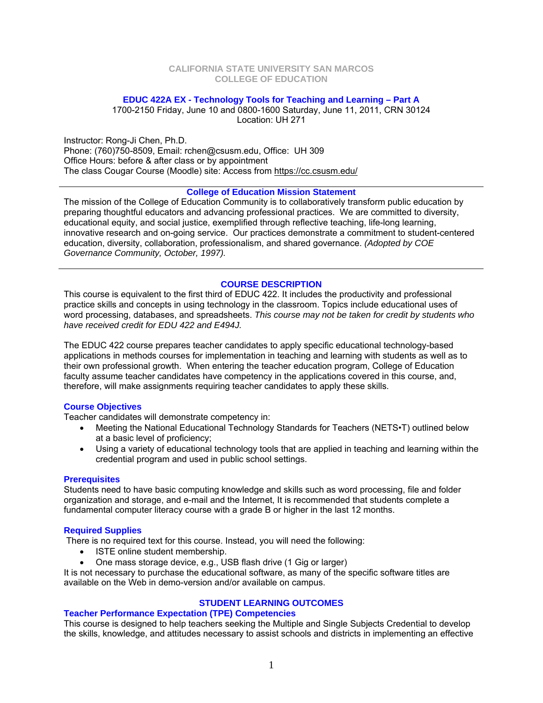### **CALIFORNIA STATE UNIVERSITY SAN MARCOS COLLEGE OF EDUCATION**

# **EDUC 422A EX - Technology Tools for Teaching and Learning – Part A**

1700-2150 Friday, June 10 and 0800-1600 Saturday, June 11, 2011, CRN 30124 Location: UH 271

Instructor: Rong-Ji Chen, Ph.D. Phone: (760)750-8509, Email: rchen@csusm.edu, Office: UH 309 Office Hours: before & after class or by appointment The class Cougar Course (Moodle) site: Access from https://cc.csusm.edu/

# **College of Education Mission Statement**

The mission of the College of Education Community is to collaboratively transform public education by preparing thoughtful educators and advancing professional practices. We are committed to diversity, educational equity, and social justice, exemplified through reflective teaching, life-long learning, innovative research and on-going service. Our practices demonstrate a commitment to student-centered education, diversity, collaboration, professionalism, and shared governance. *(Adopted by COE Governance Community, October, 1997).*

# **COURSE DESCRIPTION**

This course is equivalent to the first third of EDUC 422. It includes the productivity and professional practice skills and concepts in using technology in the classroom. Topics include educational uses of word processing, databases, and spreadsheets. *This course may not be taken for credit by students who have received credit for EDU 422 and E494J.*

The EDUC 422 course prepares teacher candidates to apply specific educational technology-based applications in methods courses for implementation in teaching and learning with students as well as to their own professional growth. When entering the teacher education program, College of Education faculty assume teacher candidates have competency in the applications covered in this course, and, therefore, will make assignments requiring teacher candidates to apply these skills.

### **Course Objectives**

Teacher candidates will demonstrate competency in:

- Meeting the National Educational Technology Standards for Teachers (NETS•T) outlined below at a basic level of proficiency;
- Using a variety of educational technology tools that are applied in teaching and learning within the credential program and used in public school settings.

### **Prerequisites**

Students need to have basic computing knowledge and skills such as word processing, file and folder organization and storage, and e-mail and the Internet, It is recommended that students complete a fundamental computer literacy course with a grade B or higher in the last 12 months.

### **Required Supplies**

There is no required text for this course. Instead, you will need the following:

- ISTE online student membership.
- One mass storage device, e.g., USB flash drive (1 Gig or larger)

It is not necessary to purchase the educational software, as many of the specific software titles are available on the Web in demo-version and/or available on campus.

# **STUDENT LEARNING OUTCOMES**

### **Teacher Performance Expectation (TPE) Competencies**

This course is designed to help teachers seeking the Multiple and Single Subjects Credential to develop the skills, knowledge, and attitudes necessary to assist schools and districts in implementing an effective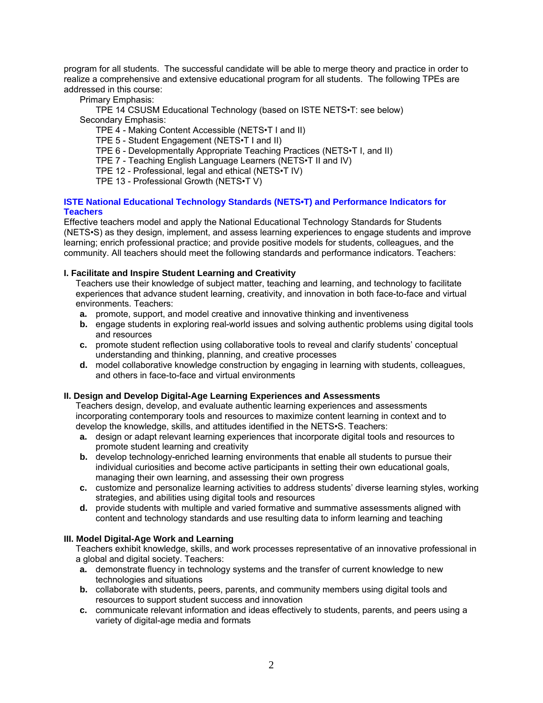program for all students. The successful candidate will be able to merge theory and practice in order to realize a comprehensive and extensive educational program for all students. The following TPEs are addressed in this course:

Primary Emphasis:

TPE 14 CSUSM Educational Technology (based on ISTE NETS•T: see below) Secondary Emphasis:

TPE 4 - Making Content Accessible (NETS•T I and II)

TPE 5 - Student Engagement (NETS•T I and II)

TPE 6 - Developmentally Appropriate Teaching Practices (NETS•T I, and II)

TPE 7 - Teaching English Language Learners (NETS•T II and IV)

TPE 12 - Professional, legal and ethical (NETS•T IV)

TPE 13 - Professional Growth (NETS•T V)

# **ISTE National Educational Technology Standards (NETS•T) and Performance Indicators for Teachers**

Effective teachers model and apply the National Educational Technology Standards for Students (NETS•S) as they design, implement, and assess learning experiences to engage students and improve learning; enrich professional practice; and provide positive models for students, colleagues, and the community. All teachers should meet the following standards and performance indicators. Teachers:

# **I. Facilitate and Inspire Student Learning and Creativity**

Teachers use their knowledge of subject matter, teaching and learning, and technology to facilitate experiences that advance student learning, creativity, and innovation in both face-to-face and virtual environments. Teachers:

- **a.** promote, support, and model creative and innovative thinking and inventiveness
- **b.** engage students in exploring real-world issues and solving authentic problems using digital tools and resources
- **c.** promote student reflection using collaborative tools to reveal and clarify students' conceptual understanding and thinking, planning, and creative processes
- **d.** model collaborative knowledge construction by engaging in learning with students, colleagues, and others in face-to-face and virtual environments

### **II. Design and Develop Digital-Age Learning Experiences and Assessments**

Teachers design, develop, and evaluate authentic learning experiences and assessments incorporating contemporary tools and resources to maximize content learning in context and to develop the knowledge, skills, and attitudes identified in the NETS•S. Teachers:

- **a.** design or adapt relevant learning experiences that incorporate digital tools and resources to promote student learning and creativity
- **b.** develop technology-enriched learning environments that enable all students to pursue their individual curiosities and become active participants in setting their own educational goals, managing their own learning, and assessing their own progress
- **c.** customize and personalize learning activities to address students' diverse learning styles, working strategies, and abilities using digital tools and resources
- **d.** provide students with multiple and varied formative and summative assessments aligned with content and technology standards and use resulting data to inform learning and teaching

### **III. Model Digital-Age Work and Learning**

Teachers exhibit knowledge, skills, and work processes representative of an innovative professional in a global and digital society. Teachers:

- **a.** demonstrate fluency in technology systems and the transfer of current knowledge to new technologies and situations
- **b.** collaborate with students, peers, parents, and community members using digital tools and resources to support student success and innovation
- **c.** communicate relevant information and ideas effectively to students, parents, and peers using a variety of digital-age media and formats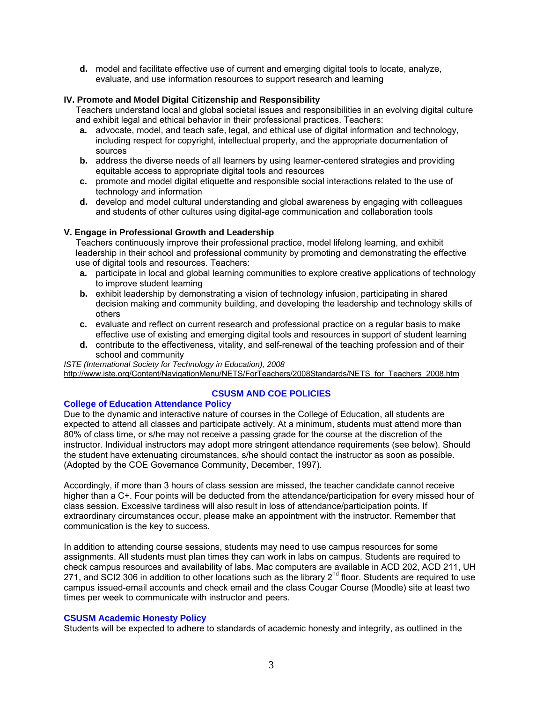**d.** model and facilitate effective use of current and emerging digital tools to locate, analyze, evaluate, and use information resources to support research and learning

# **IV. Promote and Model Digital Citizenship and Responsibility**

Teachers understand local and global societal issues and responsibilities in an evolving digital culture and exhibit legal and ethical behavior in their professional practices. Teachers:

- **a.** advocate, model, and teach safe, legal, and ethical use of digital information and technology, including respect for copyright, intellectual property, and the appropriate documentation of sources
- **b.** address the diverse needs of all learners by using learner-centered strategies and providing equitable access to appropriate digital tools and resources
- **c.** promote and model digital etiquette and responsible social interactions related to the use of technology and information
- **d.** develop and model cultural understanding and global awareness by engaging with colleagues and students of other cultures using digital-age communication and collaboration tools

# **V. Engage in Professional Growth and Leadership**

Teachers continuously improve their professional practice, model lifelong learning, and exhibit leadership in their school and professional community by promoting and demonstrating the effective use of digital tools and resources. Teachers:

- **a.** participate in local and global learning communities to explore creative applications of technology to improve student learning
- **b.** exhibit leadership by demonstrating a vision of technology infusion, participating in shared decision making and community building, and developing the leadership and technology skills of others
- **c.** evaluate and reflect on current research and professional practice on a regular basis to make effective use of existing and emerging digital tools and resources in support of student learning
- **d.** contribute to the effectiveness, vitality, and self-renewal of the teaching profession and of their school and community

*ISTE (International Society for Technology in Education), 2008*

http://www.iste.org/Content/NavigationMenu/NETS/ForTeachers/2008Standards/NETS\_for\_Teachers\_2008.htm

# **CSUSM AND COE POLICIES**

### **College of Education Attendance Policy**

Due to the dynamic and interactive nature of courses in the College of Education, all students are expected to attend all classes and participate actively. At a minimum, students must attend more than 80% of class time, or s/he may not receive a passing grade for the course at the discretion of the instructor. Individual instructors may adopt more stringent attendance requirements (see below). Should the student have extenuating circumstances, s/he should contact the instructor as soon as possible. (Adopted by the COE Governance Community, December, 1997).

Accordingly, if more than 3 hours of class session are missed, the teacher candidate cannot receive higher than a C+. Four points will be deducted from the attendance/participation for every missed hour of class session. Excessive tardiness will also result in loss of attendance/participation points. If extraordinary circumstances occur, please make an appointment with the instructor. Remember that communication is the key to success.

In addition to attending course sessions, students may need to use campus resources for some assignments. All students must plan times they can work in labs on campus. Students are required to check campus resources and availability of labs. Mac computers are available in ACD 202, ACD 211, UH 271, and SCI2 306 in addition to other locations such as the library 2<sup>nd</sup> floor. Students are required to use campus issued-email accounts and check email and the class Cougar Course (Moodle) site at least two times per week to communicate with instructor and peers.

# **CSUSM Academic Honesty Policy**

Students will be expected to adhere to standards of academic honesty and integrity, as outlined in the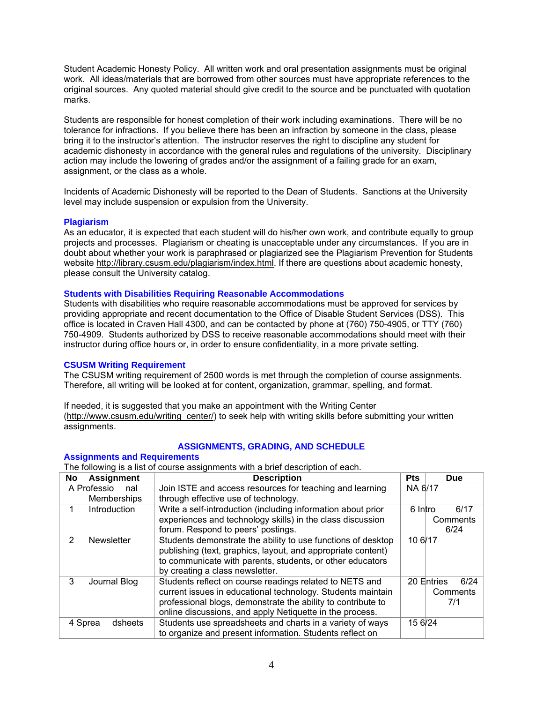Student Academic Honesty Policy. All written work and oral presentation assignments must be original work. All ideas/materials that are borrowed from other sources must have appropriate references to the original sources. Any quoted material should give credit to the source and be punctuated with quotation marks.

Students are responsible for honest completion of their work including examinations. There will be no tolerance for infractions. If you believe there has been an infraction by someone in the class, please bring it to the instructor's attention. The instructor reserves the right to discipline any student for academic dishonesty in accordance with the general rules and regulations of the university. Disciplinary action may include the lowering of grades and/or the assignment of a failing grade for an exam, assignment, or the class as a whole.

Incidents of Academic Dishonesty will be reported to the Dean of Students. Sanctions at the University level may include suspension or expulsion from the University.

# **Plagiarism**

As an educator, it is expected that each student will do his/her own work, and contribute equally to group projects and processes. Plagiarism or cheating is unacceptable under any circumstances. If you are in doubt about whether your work is paraphrased or plagiarized see the Plagiarism Prevention for Students website http://library.csusm.edu/plagiarism/index.html. If there are questions about academic honesty, please consult the University catalog.

# **Students with Disabilities Requiring Reasonable Accommodations**

Students with disabilities who require reasonable accommodations must be approved for services by providing appropriate and recent documentation to the Office of Disable Student Services (DSS). This office is located in Craven Hall 4300, and can be contacted by phone at (760) 750-4905, or TTY (760) 750-4909. Students authorized by DSS to receive reasonable accommodations should meet with their instructor during office hours or, in order to ensure confidentiality, in a more private setting.

### **CSUSM Writing Requirement**

The CSUSM writing requirement of 2500 words is met through the completion of course assignments. Therefore, all writing will be looked at for content, organization, grammar, spelling, and format.

If needed, it is suggested that you make an appointment with the Writing Center (http://www.csusm.edu/writing\_center/) to seek help with writing skills before submitting your written assignments.

# **ASSIGNMENTS, GRADING, AND SCHEDULE**

### **Assignments and Requirements**

The following is a list of course assignments with a brief description of each.

| <b>No</b> | <b>Assignment</b>   | <b>Description</b>                                           | <b>Pts</b> | <b>Due</b>         |
|-----------|---------------------|--------------------------------------------------------------|------------|--------------------|
|           | A Professio<br>nal  | Join ISTE and access resources for teaching and learning     | NA 6/17    |                    |
|           | Memberships         | through effective use of technology.                         |            |                    |
|           | <b>Introduction</b> | Write a self-introduction (including information about prior | 6 Intro    | 6/17               |
|           |                     | experiences and technology skills) in the class discussion   |            | Comments           |
|           |                     | forum. Respond to peers' postings.                           |            | 6/24               |
| 2         | <b>Newsletter</b>   | Students demonstrate the ability to use functions of desktop | 10.6/17    |                    |
|           |                     | publishing (text, graphics, layout, and appropriate content) |            |                    |
|           |                     | to communicate with parents, students, or other educators    |            |                    |
|           |                     | by creating a class newsletter.                              |            |                    |
| 3         | Journal Blog        | Students reflect on course readings related to NETS and      |            | 20 Entries<br>6/24 |
|           |                     | current issues in educational technology. Students maintain  |            | Comments           |
|           |                     | professional blogs, demonstrate the ability to contribute to |            | 7/1                |
|           |                     | online discussions, and apply Netiquette in the process.     |            |                    |
|           | 4 Sprea<br>dsheets  | Students use spreadsheets and charts in a variety of ways    | 15 6/24    |                    |
|           |                     | to organize and present information. Students reflect on     |            |                    |